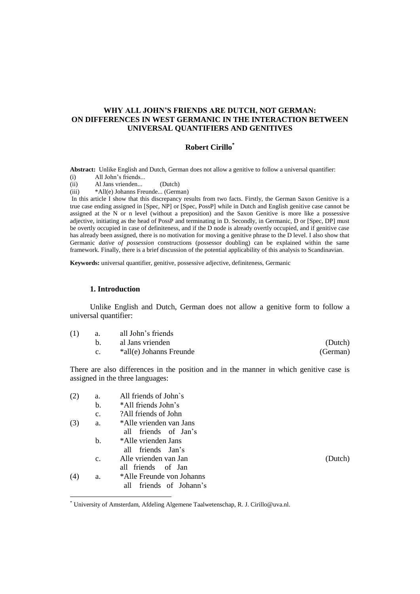# **WHY ALL JOHN'S FRIENDS ARE DUTCH, NOT GERMAN: ON DIFFERENCES IN WEST GERMANIC IN THE INTERACTION BETWEEN UNIVERSAL QUANTIFIERS AND GENITIVES**

# **Robert Cirillo\***

**Abstract:** Unlike English and Dutch, German does not allow a genitive to follow a universal quantifier:

(i) All John's friends...

(ii) Al Jans vrienden... (Dutch)

(iii) \*All(e) Johanns Freunde... (German)

In this article I show that this discrepancy results from two facts. Firstly, the German Saxon Genitive is a true case ending assigned in [Spec, NP] or [Spec, PossP] while in Dutch and English genitive case cannot be assigned at the N or n level (without a preposition) and the Saxon Genitive is more like a possessive adjective, initiating as the head of PossP and terminating in D. Secondly, in Germanic, D or [Spec, DP] must be overtly occupied in case of definiteness, and if the D node is already overtly occupied, and if genitive case has already been assigned, there is no motivation for moving a genitive phrase to the D level. I also show that Germanic *dative of possession* constructions (possessor doubling) can be explained within the same framework. Finally, there is a brief discussion of the potential applicability of this analysis to Scandinavian.

**Keywords:** universal quantifier, genitive, possessive adjective, definiteness, Germanic

# **1. Introduction**

 $\overline{a}$ 

Unlike English and Dutch, German does not allow a genitive form to follow a universal quantifier:

| (1) | <b>a.</b> | all John's friends      |          |
|-----|-----------|-------------------------|----------|
|     |           | al Jans vrienden        | (Dutch)  |
|     |           | *all(e) Johanns Freunde | (German) |

There are also differences in the position and in the manner in which genitive case is assigned in the three languages:

| (2) | a.             | All friends of John's      |         |
|-----|----------------|----------------------------|---------|
|     | b.             | *All friends John's        |         |
|     | c.             | ?All friends of John?      |         |
| (3) | a.             | *Alle vrienden van Jans    |         |
|     |                | all friends of Jan's       |         |
|     | $\mathbf{b}$ . | *Alle vrienden Jans        |         |
|     |                | all friends Jan's          |         |
|     | C <sub>1</sub> | Alle vrienden van Jan      | (Dutch) |
|     |                | all friends of Jan         |         |
| (4) | a.             | *Alle Freunde von Johanns  |         |
|     |                | all<br>friends of Johann's |         |

<sup>\*</sup> University of Amsterdam, Afdeling Algemene Taalwetenschap, R. J. Cirillo@uva.nl.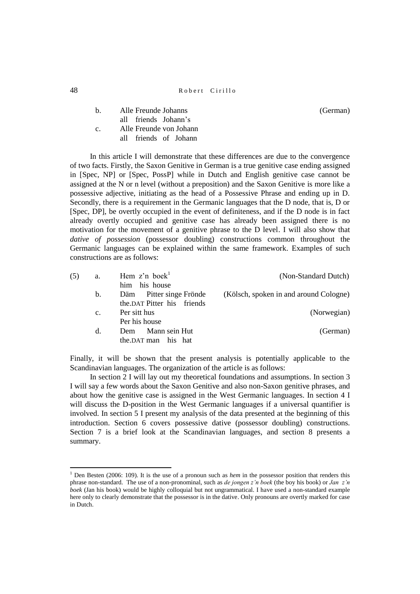<sup>48</sup> Robert Cirillo

| $h_{\cdot}$ | Alle Freunde Johanns    | (German) |
|-------------|-------------------------|----------|
|             | all friends Johann's    |          |
| $c_{-}$     | Alle Freunde von Johann |          |
|             | all friends of Johann   |          |

In this article I will demonstrate that these differences are due to the convergence of two facts. Firstly, the Saxon Genitive in German is a true genitive case ending assigned in [Spec, NP] or [Spec, PossP] while in Dutch and English genitive case cannot be assigned at the N or n level (without a preposition) and the Saxon Genitive is more like a possessive adjective, initiating as the head of a Possessive Phrase and ending up in D. Secondly, there is a requirement in the Germanic languages that the D node, that is, D or [Spec, DP], be overtly occupied in the event of definiteness, and if the D node is in fact already overtly occupied and genitive case has already been assigned there is no motivation for the movement of a genitive phrase to the D level. I will also show that *dative of possession* (possessor doubling) constructions common throughout the Germanic languages can be explained within the same framework. Examples of such constructions are as follows:

| (5) | a.             | Hem $z$ 'n boek $\overline{z}$ | (Non-Standard Dutch)                   |
|-----|----------------|--------------------------------|----------------------------------------|
|     |                | him his house                  |                                        |
|     | $\mathbf{b}$ . | Pitter singe Frönde<br>Däm     | (Kölsch, spoken in and around Cologne) |
|     |                | the DAT Pitter his friends     |                                        |
|     | $\mathbf{c}$ . | Per sitt hus                   | (Norwegian)                            |
|     |                | Per his house                  |                                        |
|     | d.             | Mann sein Hut<br>Dem           | (German)                               |
|     |                | the DAT man his hat            |                                        |
|     |                |                                |                                        |

Finally, it will be shown that the present analysis is potentially applicable to the Scandinavian languages. The organization of the article is as follows:

In section 2 I will lay out my theoretical foundations and assumptions. In section 3 I will say a few words about the Saxon Genitive and also non-Saxon genitive phrases, and about how the genitive case is assigned in the West Germanic languages. In section 4 I will discuss the D-position in the West Germanic languages if a universal quantifier is involved. In section 5 I present my analysis of the data presented at the beginning of this introduction. Section 6 covers possessive dative (possessor doubling) constructions. Section 7 is a brief look at the Scandinavian languages, and section 8 presents a summary.

 $\ddot{\phantom{a}}$ 

<sup>&</sup>lt;sup>1</sup> Den Besten (2006: 109). It is the use of a pronoun such as *hem* in the possessor position that renders this phrase non-standard. The use of a non-pronominal, such as *de jongen z'n boek* (the boy his book) or *Jan z'n boek* (Jan his book) would be highly colloquial but not ungrammatical. I have used a non-standard example here only to clearly demonstrate that the possessor is in the dative. Only pronouns are overtly marked for case in Dutch.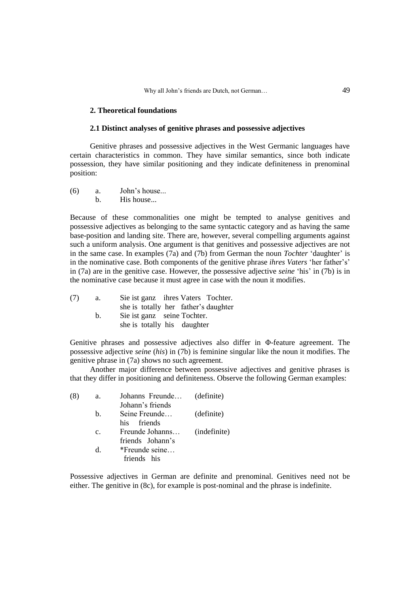#### **2. Theoretical foundations**

## **2.1 Distinct analyses of genitive phrases and possessive adjectives**

Genitive phrases and possessive adjectives in the West Germanic languages have certain characteristics in common. They have similar semantics, since both indicate possession, they have similar positioning and they indicate definiteness in prenominal position:

(6) a. John's house... b. His house...

Because of these commonalities one might be tempted to analyse genitives and possessive adjectives as belonging to the same syntactic category and as having the same base-position and landing site. There are, however, several compelling arguments against such a uniform analysis. One argument is that genitives and possessive adjectives are not in the same case. In examples (7a) and (7b) from German the noun *Tochter* 'daughter' is in the nominative case. Both components of the genitive phrase *ihres Vaters* 'her father's' in (7a) are in the genitive case. However, the possessive adjective *seine* 'his' in (7b) is in the nominative case because it must agree in case with the noun it modifies.

(7) a. Sie ist ganz ihres Vaters Tochter. she is totally her father's daughter b. Sie ist ganz seine Tochter. she is totally his daughter

Genitive phrases and possessive adjectives also differ in Φ-feature agreement. The possessive adjective *seine* (*his*) in (7b) is feminine singular like the noun it modifies. The genitive phrase in (7a) shows no such agreement.

Another major difference between possessive adjectives and genitive phrases is that they differ in positioning and definiteness. Observe the following German examples:

| (8) | a. | Johanns Freunde (definite) |              |
|-----|----|----------------------------|--------------|
|     |    | Johann's friends           |              |
|     | b. | Seine Freunde              | (definite)   |
|     |    | his friends                |              |
|     | C. | Freunde Johanns            | (indefinite) |
|     |    | friends Johann's           |              |
|     | d. | *Freunde seine             |              |
|     |    | friends his                |              |
|     |    |                            |              |

Possessive adjectives in German are definite and prenominal. Genitives need not be either. The genitive in (8c), for example is post-nominal and the phrase is indefinite.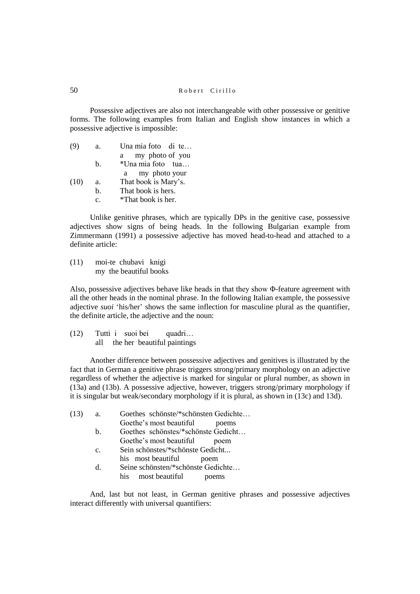Possessive adjectives are also not interchangeable with other possessive or genitive forms. The following examples from Italian and English show instances in which a possessive adjective is impossible:

| (9)  | a.             | Una mia foto di te   |
|------|----------------|----------------------|
|      |                | my photo of you<br>a |
|      | h.             | *Una mia foto tua    |
|      |                | my photo your<br>a   |
| (10) | a.             | That book is Mary's. |
|      | h.             | That book is hers.   |
|      | $\mathbf{c}$ . | *That book is her.   |

Unlike genitive phrases, which are typically DPs in the genitive case, possessive adjectives show signs of being heads. In the following Bulgarian example from Zimmermann (1991) a possessive adjective has moved head-to-head and attached to a definite article:

(11) moi-te chubavi knigi my the beautiful books

Also, possessive adjectives behave like heads in that they show Φ-feature agreement with all the other heads in the nominal phrase. In the following Italian example, the possessive adjective *suoi* 'his/her' shows the same inflection for masculine plural as the quantifier, the definite article, the adjective and the noun:

(12) Tutti i suoi bei quadri… all the her beautiful paintings

Another difference between possessive adjectives and genitives is illustrated by the fact that in German a genitive phrase triggers strong/primary morphology on an adjective regardless of whether the adjective is marked for singular or plural number, as shown in (13a) and (13b). A possessive adjective, however, triggers strong/primary morphology if it is singular but weak/secondary morphology if it is plural, as shown in (13c) and 13d).

| (13) | a.             | Goethes schönste/*schönsten Gedichte |
|------|----------------|--------------------------------------|
|      |                | Goethe's most beautiful<br>poems     |
|      | $\mathbf{b}$ . | Goethes schönstes/*schönste Gedicht  |
|      |                | Goethe's most beautiful<br>poem      |
|      | $C_{\rm}$      | Sein schönstes/*schönste Gedicht     |
|      |                | his most beautiful<br>poem           |
|      | d.             | Seine schönsten/*schönste Gedichte   |
|      |                | most beautiful<br>his -<br>poems     |

And, last but not least, in German genitive phrases and possessive adjectives interact differently with universal quantifiers: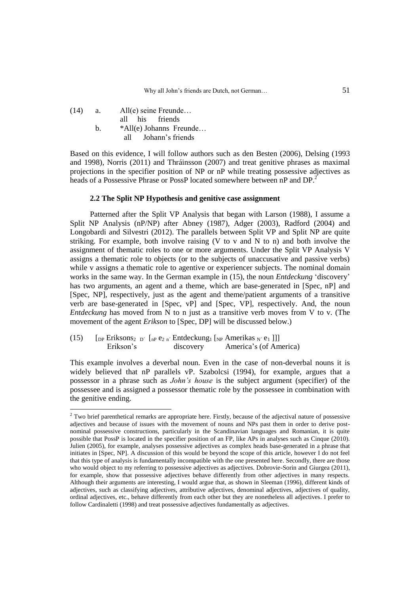| (14) | a. | $All(e)$ seine Freunde  |  |  |
|------|----|-------------------------|--|--|
|      |    | all his friends         |  |  |
|      | h. | *All(e) Johanns Freunde |  |  |
|      |    | all Johann's friends    |  |  |

 $\ddot{\phantom{a}}$ 

Based on this evidence, I will follow authors such as den Besten (2006), Delsing (1993 and 1998), Norris (2011) and Thráinsson (2007) and treat genitive phrases as maximal projections in the specifier position of NP or nP while treating possessive adjectives as heads of a Possessive Phrase or PossP located somewhere between nP and DP.<sup>2</sup>

# **2.2 The Split NP Hypothesis and genitive case assignment**

Patterned after the Split VP Analysis that began with Larson (1988), I assume a Split NP Analysis (nP/NP) after Abney (1987), Adger (2003), Radford (2004) and Longobardi and Silvestri (2012). The parallels between Split VP and Split NP are quite striking. For example, both involve raising (V to v and N to n) and both involve the assignment of thematic roles to one or more arguments. Under the Split VP Analysis V assigns a thematic role to objects (or to the subjects of unaccusative and passive verbs) while v assigns a thematic role to agentive or experiencer subjects. The nominal domain works in the same way. In the German example in (15), the noun *Entdeckung* 'discovery' has two arguments, an agent and a theme, which are base-generated in [Spec, nP] and [Spec, NP], respectively, just as the agent and theme/patient arguments of a transitive verb are base-generated in [Spec, vP] and [Spec, VP], respectively. And, the noun *Entdeckung* has moved from N to n just as a transitive verb moves from V to v. (The movement of the agent *Erikson* to [Spec, DP] will be discussed below.)

(15)  $\left[\begin{array}{cc} \text{op Eriksons}_{2} & \text{D'} \end{array}\right]$  [np e<sub>2 n´</sub> Entdeckung<sub>1</sub> [Np Amerikas <sub>N´</sub> e<sub>1</sub>]]] Erikson's discovery America's (of America)

This example involves a deverbal noun. Even in the case of non-deverbal nouns it is widely believed that nP parallels vP. Szabolcsi (1994), for example, argues that a possessor in a phrase such as *John's house* is the subject argument (specifier) of the possessee and is assigned a possessor thematic role by the possessee in combination with the genitive ending.

 $2$  Two brief parenthetical remarks are appropriate here. Firstly, because of the adjectival nature of possessive adjectives and because of issues with the movement of nouns and NPs past them in order to derive postnominal possessive constructions, particularly in the Scandinavian languages and Romanian, it is quite possible that PossP is located in the specifier position of an FP, like APs in analyses such as Cinque (2010). Julien (2005), for example, analyses possessive adjectives as complex heads base-generated in a phrase that initiates in [Spec, NP]. A discussion of this would be beyond the scope of this article, however I do not feel that this type of analysis is fundamentally incompatible with the one presented here. Secondly, there are those who would object to my referring to possessive adjectives as adjectives. Dobrovie-Sorin and Giurgea (2011), for example, show that possessive adjectives behave differently from other adjectives in many respects. Although their arguments are interesting, I would argue that, as shown in Sleeman (1996), different kinds of adjectives, such as classifying adjectives, attributive adjectives, denominal adjectives, adjectives of quality, ordinal adjectives, etc., behave differently from each other but they are nonetheless all adjectives. I prefer to follow Cardinaletti (1998) and treat possessive adjectives fundamentally as adjectives.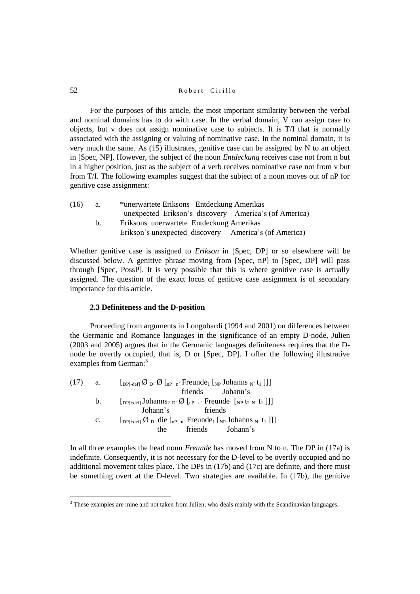For the purposes of this article, the most important similarity between the verbal and nominal domains has to do with case. In the verbal domain, V can assign case to objects, but v does not assign nominative case to subjects. It is T/I that is normally associated with the assigning or valuing of nominative case. In the nominal domain, it is very much the same. As (15) illustrates, genitive case can be assigned by N to an object in [Spec, NP]. However, the subject of the noun *Entdeckung* receives case not from n but in a higher position, just as the subject of a verb receives nominative case not from v but from T/I. The following examples suggest that the subject of a noun moves out of nP for genitive case assignment:

| (16) | a. | *unerwartete Eriksons Entdeckung Amerikas             |
|------|----|-------------------------------------------------------|
|      |    | unexpected Erikson's discovery America's (of America) |
|      | h. | Eriksons unerwartete Entdeckung Amerikas              |
|      |    | Erikson's unexpected discovery America's (of America) |

Whether genitive case is assigned to *Erikson* in [Spec, DP] or so elsewhere will be discussed below. A genitive phrase moving from [Spec, nP] to [Spec, DP] will pass through [Spec, PossP]. It is very possible that this is where genitive case is actually assigned. The question of the exact locus of genitive case assignment is of secondary importance for this article.

# **2.3 Definiteness and the D-position**

Proceeding from arguments in Longobardi (1994 and 2001) on differences between the Germanic and Romance languages in the significance of an empty D-node, Julien (2003 and 2005) argues that in the Germanic languages definiteness requires that the Dnode be overtly occupied, that is, D or [Spec, DP]. I offer the following illustrative examples from German:<sup>3</sup>

| (17) | a.          | $\left[\text{DP}(\text{def}) \mathcal{O}_{D'} \mathcal{O} \right]_{n^p}$ $\left[\text{TP} \left[\text{Per} \text{Id} \right]_{n^p} \text{Johanns}_{N'} t_1 \right]$                             |  |  |
|------|-------------|-------------------------------------------------------------------------------------------------------------------------------------------------------------------------------------------------|--|--|
|      |             | friends Johann's                                                                                                                                                                                |  |  |
|      | b.          | $\left[$ <sub>DPf+defj</sub> Johanns <sub>2</sub> <sub>D'</sub> $\emptyset$ $\left[$ <sub>nP n'</sub> Freunde <sub>1</sub> $\left[$ <sub>NP</sub> t <sub>2</sub> N' <sub>t<sub>1</sub></sub> ]] |  |  |
|      |             | Johann's<br>friends                                                                                                                                                                             |  |  |
|      | $c_{\cdot}$ | $\left[_{DP[+def]} \emptyset_{D'}$ die $\left[_{nP-n'}$ Freunde <sub>1</sub> $\left[_{NP}$ Johanns <sub>N'</sub> t <sub>1</sub> ]]                                                              |  |  |
|      |             | friends Johann's<br>the                                                                                                                                                                         |  |  |
|      |             |                                                                                                                                                                                                 |  |  |

In all three examples the head noun *Freunde* has moved from N to n. The DP in (17a) is indefinite. Consequently, it is not necessary for the D-level to be overtly occupied and no additional movement takes place. The DPs in (17b) and (17c) are definite, and there must be something overt at the D-level. Two strategies are available. In (17b), the genitive

 $\overline{a}$ 

<sup>&</sup>lt;sup>3</sup> These examples are mine and not taken from Julien, who deals mainly with the Scandinavian languages.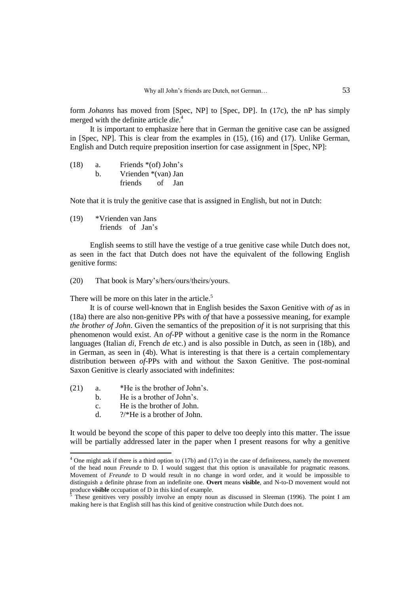form *Johanns* has moved from [Spec, NP] to [Spec, DP]. In (17c), the nP has simply merged with the definite article *die*. 4

It is important to emphasize here that in German the genitive case can be assigned in [Spec, NP]. This is clear from the examples in (15), (16) and (17). Unlike German, English and Dutch require preposition insertion for case assignment in [Spec, NP]:

| (18) | a. | Friends $*(of)$ John's |    |     |
|------|----|------------------------|----|-----|
|      | h. | Vrienden *(van) Jan    |    |     |
|      |    | friends                | of | Jan |

Note that it is truly the genitive case that is assigned in English, but not in Dutch:

(19) \*Vrienden van Jans friends of Jan's

English seems to still have the vestige of a true genitive case while Dutch does not, as seen in the fact that Dutch does not have the equivalent of the following English genitive forms:

(20) That book is Mary's/hers/ours/theirs/yours.

There will be more on this later in the article.<sup>5</sup>

It is of course well-known that in English besides the Saxon Genitive with *of* as in (18a) there are also non-genitive PPs with *of* that have a possessive meaning, for example *the brother of John*. Given the semantics of the preposition *of* it is not surprising that this phenomenon would exist. An *of*-PP without a genitive case is the norm in the Romance languages (Italian *di*, French *de* etc.) and is also possible in Dutch, as seen in (18b), and in German, as seen in (4b). What is interesting is that there is a certain complementary distribution between *of*-PPs with and without the Saxon Genitive. The post-nominal Saxon Genitive is clearly associated with indefinites:

(21) a. \*He is the brother of John's.

 $\overline{a}$ 

- b. He is a brother of John's.
- c. He is the brother of John.
- d. ?/\*He is a brother of John.

It would be beyond the scope of this paper to delve too deeply into this matter. The issue will be partially addressed later in the paper when I present reasons for why a genitive

<sup>&</sup>lt;sup>4</sup> One might ask if there is a third option to (17b) and (17c) in the case of definiteness, namely the movement of the head noun *Freunde* to D. I would suggest that this option is unavailable for pragmatic reasons. Movement of *Freunde* to D would result in no change in word order, and it would be impossible to distinguish a definite phrase from an indefinite one. **Overt** means **visible**, and N-to-D movement would not produce **visible** occupation of D in this kind of example.

These genitives very possibly involve an empty noun as discussed in Sleeman (1996). The point I am making here is that English still has this kind of genitive construction while Dutch does not.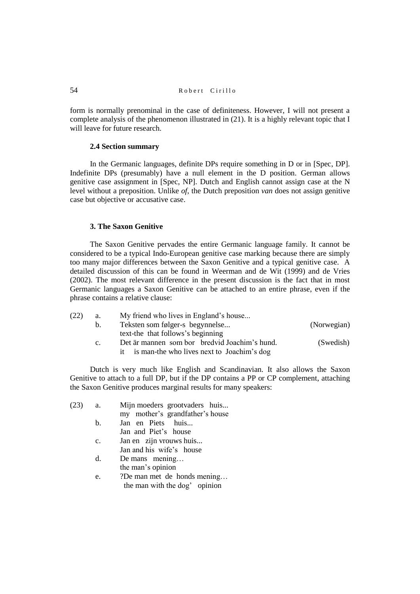form is normally prenominal in the case of definiteness. However, I will not present a complete analysis of the phenomenon illustrated in (21). It is a highly relevant topic that I will leave for future research.

## **2.4 Section summary**

In the Germanic languages, definite DPs require something in D or in [Spec, DP]. Indefinite DPs (presumably) have a null element in the D position. German allows genitive case assignment in [Spec, NP]. Dutch and English cannot assign case at the N level without a preposition. Unlike *of*, the Dutch preposition *van* does not assign genitive case but objective or accusative case.

## **3. The Saxon Genitive**

The Saxon Genitive pervades the entire Germanic language family. It cannot be considered to be a typical Indo-European genitive case marking because there are simply too many major differences between the Saxon Genitive and a typical genitive case. A detailed discussion of this can be found in Weerman and de Wit (1999) and de Vries (2002). The most relevant difference in the present discussion is the fact that in most Germanic languages a Saxon Genitive can be attached to an entire phrase, even if the phrase contains a relative clause:

| (22) | a.             | My friend who lives in England's house        |             |
|------|----------------|-----------------------------------------------|-------------|
|      | $\mathbf{b}$ . | Teksten som følger-s begynnelse               | (Norwegian) |
|      |                | text-the that follows's beginning             |             |
|      | $\mathbf{c}$ . | Det är mannen som bor bredvid Joachim's hund. | (Swedish)   |
|      |                | is man-the who lives next to Joachim's dog    |             |

Dutch is very much like English and Scandinavian. It also allows the Saxon Genitive to attach to a full DP, but if the DP contains a PP or CP complement, attaching the Saxon Genitive produces marginal results for many speakers:

| (23) | а. | Mijn moeders grootvaders huis                                                              |
|------|----|--------------------------------------------------------------------------------------------|
|      |    | my mother's grandfather's house                                                            |
|      |    | $\mathbf{r}$ $\mathbf{r}$ $\mathbf{r}$ $\mathbf{r}$ $\mathbf{r}$ $\mathbf{r}$ $\mathbf{r}$ |

- b. Jan en Piets huis... Jan and Piet's house
- c. Jan en zijn vrouws huis...
	- Jan and his wife's house
- d. De mans mening… the man's opinion
- e. ?De man met de honds mening… the man with the dog' opinion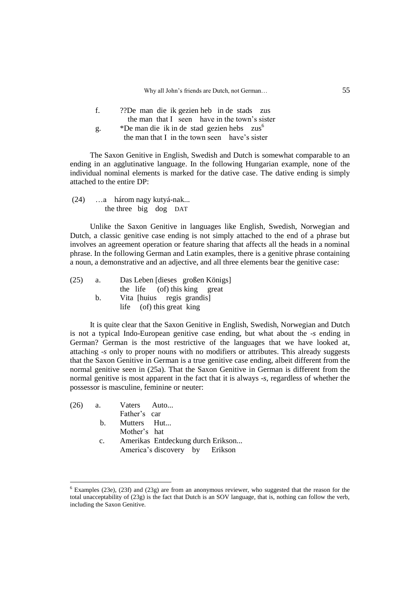|    | ??De man die ik gezien heb in de stads zus             |
|----|--------------------------------------------------------|
|    | the man that I seen have in the town's sister          |
| g. | *De man die ik in de stad gezien hebs zus <sup>6</sup> |
|    | the man that I in the town seen have's sister          |

The Saxon Genitive in English, Swedish and Dutch is somewhat comparable to an ending in an agglutinative language. In the following Hungarian example, none of the individual nominal elements is marked for the dative case. The dative ending is simply attached to the entire DP:

(24) …a három nagy kutyá-nak... the three big dog DAT

Unlike the Saxon Genitive in languages like English, Swedish, Norwegian and Dutch, a classic genitive case ending is not simply attached to the end of a phrase but involves an agreement operation or feature sharing that affects all the heads in a nominal phrase. In the following German and Latin examples, there is a genitive phrase containing a noun, a demonstrative and an adjective, and all three elements bear the genitive case:

| (25) | a. | Das Leben [dieses großen Königs] |
|------|----|----------------------------------|
|      |    | the life (of) this king great    |
|      | b. | Vita [huius regis grandis]       |
|      |    | life (of) this great king        |

It is quite clear that the Saxon Genitive in English, Swedish, Norwegian and Dutch is not a typical Indo-European genitive case ending, but what about the -*s* ending in German? German is the most restrictive of the languages that we have looked at, attaching -*s* only to proper nouns with no modifiers or attributes. This already suggests that the Saxon Genitive in German is a true genitive case ending, albeit different from the normal genitive seen in (25a). That the Saxon Genitive in German is different from the normal genitive is most apparent in the fact that it is always -*s*, regardless of whether the possessor is masculine, feminine or neuter:

|             | $(26)$ a. Vaters Auto             |
|-------------|-----------------------------------|
|             | Father's car                      |
|             | b. Mutters Hut                    |
|             | Mother's hat                      |
| $c_{\cdot}$ | Amerikas Entdeckung durch Erikson |
|             | America's discovery by Erikson    |

 $\overline{a}$ 

 $6$  Examples (23e), (23f) and (23g) are from an anonymous reviewer, who suggested that the reason for the total unacceptability of (23g) is the fact that Dutch is an SOV language, that is, nothing can follow the verb, including the Saxon Genitive.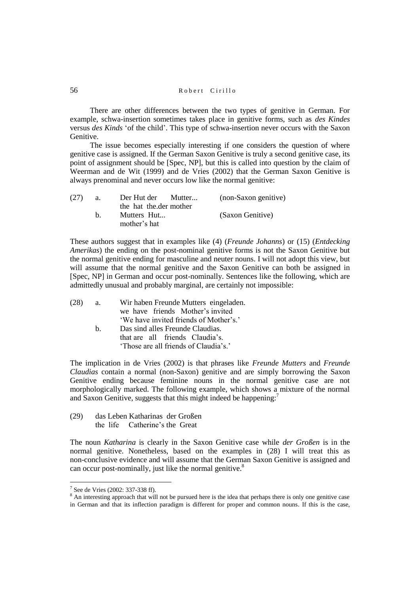There are other differences between the two types of genitive in German. For example, schwa-insertion sometimes takes place in genitive forms, such as *des Kindes* versus *des Kinds* 'of the child'. This type of schwa-insertion never occurs with the Saxon Genitive.

The issue becomes especially interesting if one considers the question of where genitive case is assigned. If the German Saxon Genitive is truly a second genitive case, its point of assignment should be [Spec, NP], but this is called into question by the claim of Weerman and de Wit (1999) and de Vries (2002) that the German Saxon Genitive is always prenominal and never occurs low like the normal genitive:

| (27) | а. | Der Hut der Mutter          | (non-Saxon genitive) |
|------|----|-----------------------------|----------------------|
|      |    | the hat the der mother      |                      |
|      | h. | Mutters Hut<br>mother's hat | (Saxon Genitive)     |

These authors suggest that in examples like (4) (*Freunde Johanns*) or (15) (*Entdecking Amerikas*) the ending on the post-nominal genitive forms is not the Saxon Genitive but the normal genitive ending for masculine and neuter nouns. I will not adopt this view, but will assume that the normal genitive and the Saxon Genitive can both be assigned in [Spec, NP] in German and occur post-nominally. Sentences like the following, which are admittedly unusual and probably marginal, are certainly not impossible:

| (28) | a. | Wir haben Freunde Mutters eingeladen.  |
|------|----|----------------------------------------|
|      |    | we have friends Mother's invited       |
|      |    | 'We have invited friends of Mother's.' |
|      | h. | Das sind alles Freunde Claudias.       |
|      |    | that are all friends Claudia's.        |
|      |    | 'Those are all friends of Claudia's.'  |
|      |    |                                        |

The implication in de Vries (2002) is that phrases like *Freunde Mutters* and *Freunde Claudias* contain a normal (non-Saxon) genitive and are simply borrowing the Saxon Genitive ending because feminine nouns in the normal genitive case are not morphologically marked. The following example, which shows a mixture of the normal and Saxon Genitive, suggests that this might indeed be happening:<sup>7</sup>

(29) das Leben Katharinas der Großen the life Catherine's the Great

The noun *Katharina* is clearly in the Saxon Genitive case while *der Großen* is in the normal genitive. Nonetheless, based on the examples in (28) I will treat this as non-conclusive evidence and will assume that the German Saxon Genitive is assigned and can occur post-nominally, just like the normal genitive.<sup>8</sup>

<sup>&</sup>lt;sup>7</sup> See de Vries (2002: 337-338 ff).

<sup>&</sup>lt;sup>8</sup> An interesting approach that will not be pursued here is the idea that perhaps there is only one genitive case in German and that its inflection paradigm is different for proper and common nouns. If this is the case,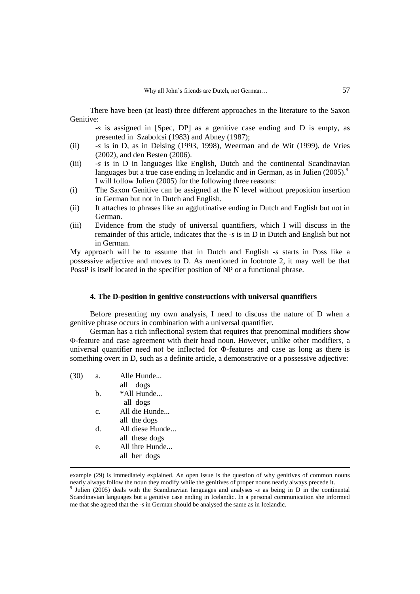There have been (at least) three different approaches in the literature to the Saxon Genitive:

-*s* is assigned in [Spec, DP] as a genitive case ending and D is empty, as presented in Szabolcsi (1983) and Abney (1987);

- (ii) -*s* is in D, as in Delsing (1993, 1998), Weerman and de Wit (1999), de Vries (2002), and den Besten (2006).
- (iii) -*s* is in D in languages like English, Dutch and the continental Scandinavian languages but a true case ending in Icelandic and in German, as in Julien  $(2005)^9$ I will follow Julien (2005) for the following three reasons:
- (i) The Saxon Genitive can be assigned at the N level without preposition insertion in German but not in Dutch and English.
- (ii) It attaches to phrases like an agglutinative ending in Dutch and English but not in German.
- (iii) Evidence from the study of universal quantifiers, which I will discuss in the remainder of this article, indicates that the *-s* is in D in Dutch and English but not in German.

My approach will be to assume that in Dutch and English *-s* starts in Poss like a possessive adjective and moves to D. As mentioned in footnote 2, it may well be that PossP is itself located in the specifier position of NP or a functional phrase.

## **4. The D-position in genitive constructions with universal quantifiers**

Before presenting my own analysis, I need to discuss the nature of D when a genitive phrase occurs in combination with a universal quantifier.

German has a rich inflectional system that requires that prenominal modifiers show Φ-feature and case agreement with their head noun. However, unlike other modifiers, a universal quantifier need not be inflected for Φ-features and case as long as there is something overt in D, such as a definite article, a demonstrative or a possessive adjective:

(30) a. Alle Hunde...

1

|                | all dogs        |
|----------------|-----------------|
| b.             | *All Hunde      |
|                | all dogs        |
| $\mathbf{c}$ . | All die Hunde   |
|                | all the dogs    |
| <sub>d</sub>   | All diese Hunde |
|                | all these dogs  |
| e.             | All ihre Hunde  |
|                | all her dogs    |
|                |                 |

example (29) is immediately explained. An open issue is the question of why genitives of common nouns nearly always follow the noun they modify while the genitives of proper nouns nearly always precede it.

9 Julien (2005) deals with the Scandinavian languages and analyses -*s* as being in D in the continental Scandinavian languages but a genitive case ending in Icelandic. In a personal communication she informed me that she agreed that the -*s* in German should be analysed the same as in Icelandic.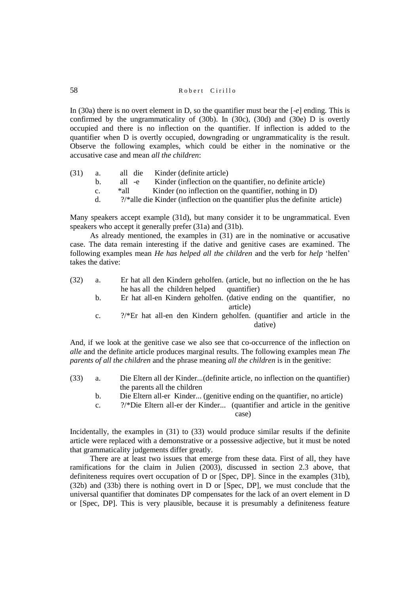In (30a) there is no overt element in D, so the quantifier must bear the [-*e*] ending. This is confirmed by the ungrammaticality of (30b). In (30c), (30d) and (30e) D is overtly occupied and there is no inflection on the quantifier. If inflection is added to the quantifier when D is overtly occupied, downgrading or ungrammaticality is the result. Observe the following examples, which could be either in the nominative or the accusative case and mean *all the children*:

| (31) | а.             | all die | Kinder (definite article)                                                              |
|------|----------------|---------|----------------------------------------------------------------------------------------|
|      | $b_{1}$        | all -e  | Kinder (inflection on the quantifier, no definite article)                             |
|      | C <sub>1</sub> | *all    | Kinder (no inflection on the quantifier, nothing in D)                                 |
|      | d.             |         | $\frac{2}{*}$ alle die Kinder (inflection on the quantifier plus the definite article) |

Many speakers accept example (31d), but many consider it to be ungrammatical. Even speakers who accept it generally prefer (31a) and (31b).

As already mentioned, the examples in (31) are in the nominative or accusative case. The data remain interesting if the dative and genitive cases are examined. The following examples mean *He has helped all the children* and the verb for *help* 'helfen' takes the dative:

| (32) | Er hat all den Kindern geholfen. (article, but no inflection on the he has |
|------|----------------------------------------------------------------------------|
|      | he has all the children helped quantifier)                                 |

- b. Er hat all-en Kindern geholfen. (dative ending on the quantifier, no article)
- c. ?/\*Er hat all-en den Kindern geholfen. (quantifier and article in the dative)

And, if we look at the genitive case we also see that co-occurrence of the inflection on *alle* and the definite article produces marginal results. The following examples mean *The parents of all the children* and the phrase meaning *all the children* is in the genitive:

- (33) a. Die Eltern all der Kinder...(definite article, no inflection on the quantifier) the parents all the children
	- b. Die Eltern all-er Kinder... (genitive ending on the quantifier, no article)
	- c. ?/\*Die Eltern all-er der Kinder... (quantifier and article in the genitive case)

Incidentally, the examples in (31) to (33) would produce similar results if the definite article were replaced with a demonstrative or a possessive adjective, but it must be noted that grammaticality judgements differ greatly.

There are at least two issues that emerge from these data. First of all, they have ramifications for the claim in Julien (2003), discussed in section 2.3 above, that definiteness requires overt occupation of D or [Spec, DP]. Since in the examples (31b), (32b) and (33b) there is nothing overt in D or [Spec, DP], we must conclude that the universal quantifier that dominates DP compensates for the lack of an overt element in D or [Spec, DP]. This is very plausible, because it is presumably a definiteness feature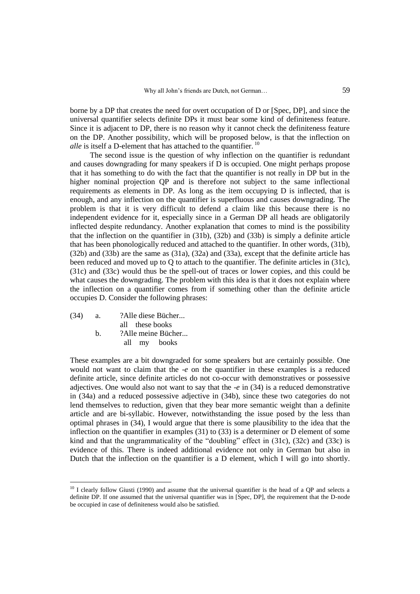borne by a DP that creates the need for overt occupation of D or [Spec, DP], and since the universal quantifier selects definite DPs it must bear some kind of definiteness feature. Since it is adjacent to DP, there is no reason why it cannot check the definiteness feature on the DP. Another possibility, which will be proposed below, is that the inflection on *alle* is itself a D-element that has attached to the quantifier.  $10$ 

The second issue is the question of why inflection on the quantifier is redundant and causes downgrading for many speakers if D is occupied. One might perhaps propose that it has something to do with the fact that the quantifier is not really in DP but in the higher nominal projection QP and is therefore not subject to the same inflectional requirements as elements in DP. As long as the item occupying D is inflected, that is enough, and any inflection on the quantifier is superfluous and causes downgrading. The problem is that it is very difficult to defend a claim like this because there is no independent evidence for it, especially since in a German DP all heads are obligatorily inflected despite redundancy. Another explanation that comes to mind is the possibility that the inflection on the quantifier in (31b), (32b) and (33b) is simply a definite article that has been phonologically reduced and attached to the quantifier. In other words, (31b), (32b) and (33b) are the same as (31a), (32a) and (33a), except that the definite article has been reduced and moved up to Q to attach to the quantifier. The definite articles in (31c), (31c) and (33c) would thus be the spell-out of traces or lower copies, and this could be what causes the downgrading. The problem with this idea is that it does not explain where the inflection on a quantifier comes from if something other than the definite article occupies D. Consider the following phrases:

(34) a. ?Alle diese Bücher... all these books b. ?Alle meine Bücher... all my books

 $\overline{a}$ 

These examples are a bit downgraded for some speakers but are certainly possible. One would not want to claim that the -*e* on the quantifier in these examples is a reduced definite article, since definite articles do not co-occur with demonstratives or possessive adjectives. One would also not want to say that the -*e* in (34) is a reduced demonstrative in (34a) and a reduced possessive adjective in (34b), since these two categories do not lend themselves to reduction, given that they bear more semantic weight than a definite article and are bi-syllabic. However, notwithstanding the issue posed by the less than optimal phrases in (34), I would argue that there is some plausibility to the idea that the inflection on the quantifier in examples (31) to (33) is a determiner or D element of some kind and that the ungrammaticality of the "doubling" effect in (31c), (32c) and (33c) is evidence of this. There is indeed additional evidence not only in German but also in Dutch that the inflection on the quantifier is a D element, which I will go into shortly.

 $10$  I clearly follow Giusti (1990) and assume that the universal quantifier is the head of a QP and selects a definite DP. If one assumed that the universal quantifier was in [Spec, DP], the requirement that the D-node be occupied in case of definiteness would also be satisfied.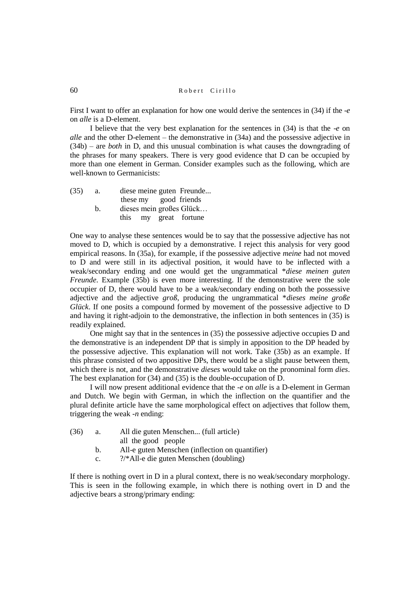First I want to offer an explanation for how one would derive the sentences in (34) if the -*e* on *alle* is a D-element.

I believe that the very best explanation for the sentences in (34) is that the -*e* on *alle* and the other D-element – the demonstrative in (34a) and the possessive adjective in (34b) – are *both* in D, and this unusual combination is what causes the downgrading of the phrases for many speakers. There is very good evidence that D can be occupied by more than one element in German. Consider examples such as the following, which are well-known to Germanicists:

| (35) | a. | diese meine guten Freunde |
|------|----|---------------------------|
|      |    | these my good friends     |
|      | b. | dieses mein großes Glück  |
|      |    | this my great fortune     |

One way to analyse these sentences would be to say that the possessive adjective has not moved to D, which is occupied by a demonstrative. I reject this analysis for very good empirical reasons. In (35a), for example, if the possessive adjective *meine* had not moved to D and were still in its adjectival position, it would have to be inflected with a weak/secondary ending and one would get the ungrammatical \**diese meinen guten Freunde*. Example (35b) is even more interesting. If the demonstrative were the sole occupier of D, there would have to be a weak/secondary ending on both the possessive adjective and the adjective *groß*, producing the ungrammatical \**dieses meine große Glück*. If one posits a compound formed by movement of the possessive adjective to D and having it right-adjoin to the demonstrative, the inflection in both sentences in (35) is readily explained.

One might say that in the sentences in (35) the possessive adjective occupies D and the demonstrative is an independent DP that is simply in apposition to the DP headed by the possessive adjective. This explanation will not work. Take (35b) as an example. If this phrase consisted of two appositive DPs, there would be a slight pause between them, which there is not, and the demonstrative *dieses* would take on the pronominal form *dies*. The best explanation for (34) and (35) is the double-occupation of D.

I will now present additional evidence that the *-e* on *alle* is a D-element in German and Dutch. We begin with German, in which the inflection on the quantifier and the plural definite article have the same morphological effect on adjectives that follow them, triggering the weak *-n* ending:

- (36) a. All die guten Menschen... (full article)
	- all the good people
	- b. All-e guten Menschen (inflection on quantifier)
	- c. ?/\*All-e die guten Menschen (doubling)

If there is nothing overt in D in a plural context, there is no weak/secondary morphology. This is seen in the following example, in which there is nothing overt in D and the adjective bears a strong/primary ending: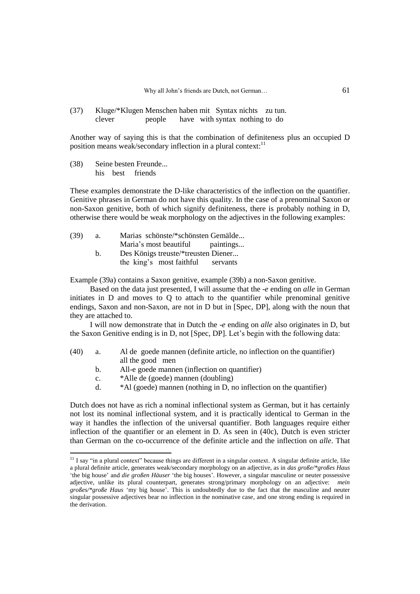(37) Kluge/\*Klugen Menschen haben mit Syntax nichts zu tun. clever people have with syntax nothing to do

Another way of saying this is that the combination of definiteness plus an occupied D position means weak/secondary inflection in a plural context:<sup>11</sup>

(38) Seine besten Freunde... his best friends

 $\overline{a}$ 

These examples demonstrate the D-like characteristics of the inflection on the quantifier. Genitive phrases in German do not have this quality. In the case of a prenominal Saxon or non-Saxon genitive, both of which signify definiteness, there is probably nothing in D, otherwise there would be weak morphology on the adjectives in the following examples:

| (39) | a. | Marias schönste/*schönsten Gemälde  |           |
|------|----|-------------------------------------|-----------|
|      |    | Maria's most beautiful              | paintings |
|      |    | Des Königs treuste/*treusten Diener |           |

the king's most faithful servants

Example (39a) contains a Saxon genitive, example (39b) a non-Saxon genitive.

Based on the data just presented, I will assume that the -*e* ending on *alle* in German initiates in D and moves to Q to attach to the quantifier while prenominal genitive endings, Saxon and non-Saxon, are not in D but in [Spec, DP], along with the noun that they are attached to.

I will now demonstrate that in Dutch the -*e* ending on *alle* also originates in D, but the Saxon Genitive ending is in D, not [Spec, DP]. Let's begin with the following data:

- (40) a. Al de goede mannen (definite article, no inflection on the quantifier) all the good men
	- b. All-e goede mannen (inflection on quantifier)
	- c. \*Alle de (goede) mannen (doubling)
	- d. \*Al (goede) mannen (nothing in D, no inflection on the quantifier)

Dutch does not have as rich a nominal inflectional system as German, but it has certainly not lost its nominal inflectional system, and it is practically identical to German in the way it handles the inflection of the universal quantifier. Both languages require either inflection of the quantifier or an element in D. As seen in (40c), Dutch is even stricter than German on the co-occurrence of the definite article and the inflection on *alle*. That

 $11$  I say "in a plural context" because things are different in a singular context. A singular definite article, like a plural definite article, generates weak/secondary morphology on an adjective, as in *das große/\*großes Haus* 'the big house' and *die großen Häuser* 'the big houses'. However, a singular masculine or neuter possessive adjective, unlike its plural counterpart, generates strong/primary morphology on an adjective: *mein großes/\*große Haus* 'my big house'. This is undoubtedly due to the fact that the masculine and neuter singular possessive adjectives bear no inflection in the nominative case, and one strong ending is required in the derivation.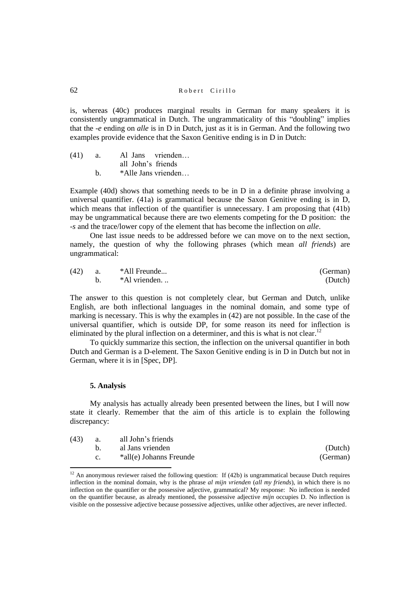is, whereas (40c) produces marginal results in German for many speakers it is consistently ungrammatical in Dutch. The ungrammaticality of this "doubling" implies that the *-e* ending on *alle* is in D in Dutch, just as it is in German. And the following two examples provide evidence that the Saxon Genitive ending is in D in Dutch:

| (41) | а. | Al Jans vrienden    |
|------|----|---------------------|
|      |    | all John's friends  |
|      | h. | *Alle Jans vrienden |

Example (40d) shows that something needs to be in D in a definite phrase involving a universal quantifier. (41a) is grammatical because the Saxon Genitive ending is in D, which means that inflection of the quantifier is unnecessary. I am proposing that (41b) may be ungrammatical because there are two elements competing for the D position: the *-s* and the trace/lower copy of the element that has become the inflection on *alle*.

One last issue needs to be addressed before we can move on to the next section, namely, the question of why the following phrases (which mean *all friends*) are ungrammatical:

| (42) | <b>a.</b> | *All Freunde | (German) |
|------|-----------|--------------|----------|
|      |           | *Al vrienden | (Dutch)  |

The answer to this question is not completely clear, but German and Dutch, unlike English, are both inflectional languages in the nominal domain, and some type of marking is necessary. This is why the examples in (42) are not possible. In the case of the universal quantifier, which is outside DP, for some reason its need for inflection is eliminated by the plural inflection on a determiner, and this is what is not clear.<sup>12</sup>

To quickly summarize this section, the inflection on the universal quantifier in both Dutch and German is a D-element. The Saxon Genitive ending is in D in Dutch but not in German, where it is in [Spec, DP].

## **5. Analysis**

 $\overline{a}$ 

My analysis has actually already been presented between the lines, but I will now state it clearly. Remember that the aim of this article is to explain the following discrepancy:

| (43) | a. | all John's friends      |          |
|------|----|-------------------------|----------|
|      |    | al Jans vrienden        | (Dutch)  |
|      |    | *all(e) Johanns Freunde | (German) |

<sup>&</sup>lt;sup>12</sup> An anonymous reviewer raised the following question: If (42b) is ungrammatical because Dutch requires inflection in the nominal domain, why is the phrase *al mijn vrienden* (*all my friends*), in which there is no inflection on the quantifier or the possessive adjective, grammatical? My response: No inflection is needed on the quantifier because, as already mentioned, the possessive adjective *mijn* occupies D. No inflection is visible on the possessive adjective because possessive adjectives, unlike other adjectives, are never inflected.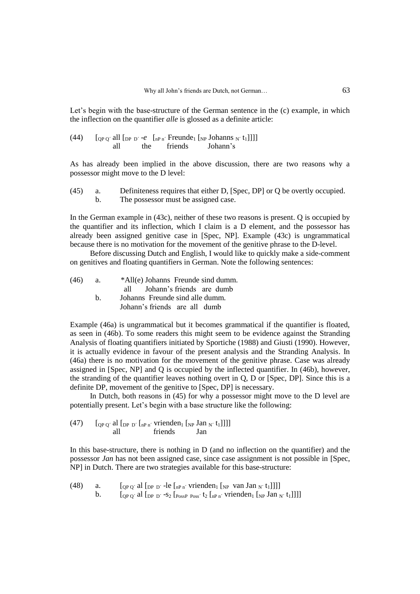Let's begin with the base-structure of the German sentence in the (c) example, in which the inflection on the quantifier *alle* is glossed as a definite article:

(44)  $\left[\begin{array}{cc} [\text{op Q'} \text{ all } [\text{op P'} -e^- \text{ in } P\text{ n'}$ \text{ Freunde}_1 \text{ in } P\text{ Johnns } N' \text{ t}_1]] ] ] \end{array}\right]$ all the friends Johann's

As has already been implied in the above discussion, there are two reasons why a possessor might move to the D level:

| (45) | Definiteness requires that either D, [Spec, DP] or Q be overtly occupied. |
|------|---------------------------------------------------------------------------|
|      | The possessor must be assigned case.                                      |

In the German example in (43c), neither of these two reasons is present. Q is occupied by the quantifier and its inflection, which I claim is a D element, and the possessor has already been assigned genitive case in [Spec, NP]. Example (43c) is ungrammatical because there is no motivation for the movement of the genitive phrase to the D-level.

Before discussing Dutch and English, I would like to quickly make a side-comment on genitives and floating quantifiers in German. Note the following sentences:

| (46) | a. | *All(e) Johanns Freunde sind dumm. |
|------|----|------------------------------------|
|      |    | all Johann's friends are dumb      |
|      | h. | Johanns Freunde sind alle dumm.    |
|      |    | Johann's friends are all dumb      |

Example (46a) is ungrammatical but it becomes grammatical if the quantifier is floated, as seen in (46b). To some readers this might seem to be evidence against the Stranding Analysis of floating quantifiers initiated by Sportiche (1988) and Giusti (1990). However, it is actually evidence in favour of the present analysis and the Stranding Analysis. In (46a) there is no motivation for the movement of the genitive phrase. Case was already assigned in [Spec, NP] and Q is occupied by the inflected quantifier. In (46b), however, the stranding of the quantifier leaves nothing overt in Q, D or [Spec, DP]. Since this is a definite DP, movement of the genitive to [Spec, DP] is necessary.

In Dutch, both reasons in (45) for why a possessor might move to the D level are potentially present. Let's begin with a base structure like the following:

(47)  $\int_{OP O'}$  al  $\int_{DP D'} \int_{P P n'}$  vrienden<sub>1</sub>  $\int_{NP}$  Jan <sub>N´</sub> t<sub>1</sub>]]]] all friends Jan

In this base-structure, there is nothing in D (and no inflection on the quantifier) and the possessor *Jan* has not been assigned case, since case assignment is not possible in [Spec, NP] in Dutch. There are two strategies available for this base-structure:

(48) a.  $\left[\begin{array}{cc} \left(\frac{1}{2}a_{\text{p}}\right)^2 & \text{if} \left[\begin{array}{cc} a_{\text{p}} & \text{p} \end{array} \right] & \text{if} \left[\begin{array}{cc} a_{\text{p}} & \text{p} \end{array} \right] & \text{if} \left[\begin{array}{cc} a_{\text{p}} & \text{p} \end{array} \right] & \text{if} \left[\begin{array}{cc} a_{\text{p}} & \text{p} \end{array} \right] & \text{if} \left[\begin{array}{cc} a_{\text{p}} & \text{p} \end{array} \right] & \text$ b.  $\left[\begin{array}{cc} \left[\begin{array}{cc} \rho_{\text{PO}} & \text{all} \end{array} \right]_{\text{DP D}'} - \text{S}_2 \begin{bmatrix} P_{\text{OSSP POSS}'} & \text{t}_2 \end{bmatrix}_{\text{DP n}'} \text{vrienden}_1 \begin{bmatrix} \text{NP Jan } N' \end{bmatrix} \right]\right]$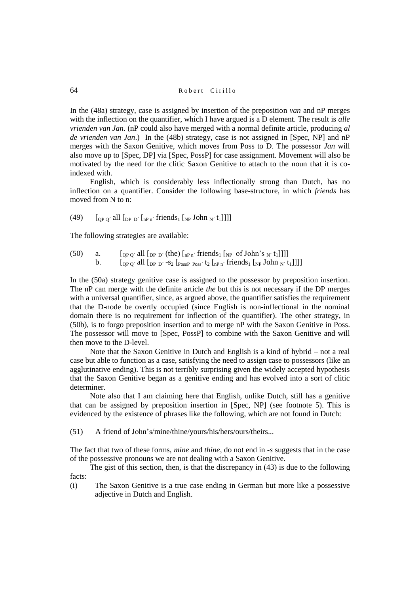In the (48a) strategy, case is assigned by insertion of the preposition *van* and nP merges with the inflection on the quantifier, which I have argued is a D element. The result is *alle vrienden van Jan*. (nP could also have merged with a normal definite article, producing *al de vrienden van Jan*.) In the (48b) strategy, case is not assigned in [Spec, NP] and nP merges with the Saxon Genitive, which moves from Poss to D. The possessor *Jan* will also move up to [Spec, DP] via [Spec, PossP] for case assignment. Movement will also be motivated by the need for the clitic Saxon Genitive to attach to the noun that it is coindexed with.

English, which is considerably less inflectionally strong than Dutch, has no inflection on a quantifier. Consider the following base-structure, in which *friends* has moved from N to n:

(49)  $\int_{OP O'}$  all  $\int_{DP D'} \int_{DP n'}$  friends<sub>1</sub>  $\left[\int_{NP}$  John  $\int_{N'}$  t<sub>1</sub>]]]]

The following strategies are available:

- (50) a.  $\left[\begin{array}{cc} \left[\begin{array}{cc} 0 & \text{if } 0 \end{array}\right] & \left[\begin{array}{cc} 0 & \text{if } 0 \end{array}\right] & \left[\begin{array}{cc} 0 & \text{if } 0 \end{array}\right] & \left[\begin{array}{cc} 0 & \text{if } 0 \end{array}\right] & \left[\begin{array}{cc} 0 & \text{if } 0 \end{array}\right] & \left[\begin{array}{cc} 0 & \text{if } 0 \end{array}\right] & \left[\begin{array}{cc} 0 & \text{if } 0 \end{array}\right] & \left[\begin{array}{cc} 0 & \text$ 
	- b.  $\left[\begin{array}{cc} \begin{bmatrix}0 & \text{p0}' & \text{q0} \\ \text{p00}' & \text{p0} & \text{p0} \end{bmatrix} & \begin{bmatrix}0 & \text{p000} \\ \text{p0000} & \text{p0000} \\ \text{p00000} & \text{p00000} & \text{p00000} \end{bmatrix} & \begin{bmatrix}0 & \text{p0000} \\ \text{p00000} & \text{p0000} \\ \text{p00000} & \text{p00000} \\ \text{p000000} & \text{p00000$

In the (50a) strategy genitive case is assigned to the possessor by preposition insertion. The nP can merge with the definite article *the* but this is not necessary if the DP merges with a universal quantifier, since, as argued above, the quantifier satisfies the requirement that the D-node be overtly occupied (since English is non-inflectional in the nominal domain there is no requirement for inflection of the quantifier). The other strategy, in (50b), is to forgo preposition insertion and to merge nP with the Saxon Genitive in Poss. The possessor will move to [Spec, PossP] to combine with the Saxon Genitive and will then move to the D-level.

Note that the Saxon Genitive in Dutch and English is a kind of hybrid – not a real case but able to function as a case, satisfying the need to assign case to possessors (like an agglutinative ending). This is not terribly surprising given the widely accepted hypothesis that the Saxon Genitive began as a genitive ending and has evolved into a sort of clitic determiner.

Note also that I am claiming here that English, unlike Dutch, still has a genitive that can be assigned by preposition insertion in [Spec, NP] (see footnote 5). This is evidenced by the existence of phrases like the following, which are not found in Dutch:

(51) A friend of John's/mine/thine/yours/his/hers/ours/theirs...

The fact that two of these forms, *mine* and *thine*, do not end in *-s* suggests that in the case of the possessive pronouns we are not dealing with a Saxon Genitive.

The gist of this section, then, is that the discrepancy in (43) is due to the following facts:

(i) The Saxon Genitive is a true case ending in German but more like a possessive adjective in Dutch and English.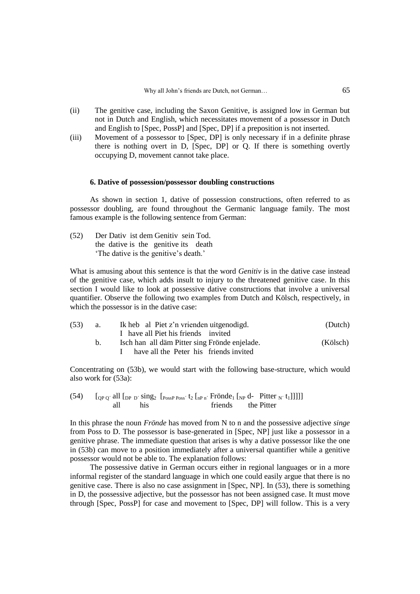- (ii) The genitive case, including the Saxon Genitive, is assigned low in German but not in Dutch and English, which necessitates movement of a possessor in Dutch and English to [Spec, PossP] and [Spec, DP] if a preposition is not inserted.
- (iii) Movement of a possessor to [Spec, DP] is only necessary if in a definite phrase there is nothing overt in D, [Spec, DP] or Q. If there is something overtly occupying D, movement cannot take place.

## **6. Dative of possession/possessor doubling constructions**

As shown in section 1, dative of possession constructions, often referred to as possessor doubling, are found throughout the Germanic language family. The most famous example is the following sentence from German:

(52) Der Dativ ist dem Genitiv sein Tod. the dative is the genitive its death 'The dative is the genitive's death.'

What is amusing about this sentence is that the word *Genitiv* is in the dative case instead of the genitive case, which adds insult to injury to the threatened genitive case. In this section I would like to look at possessive dative constructions that involve a universal quantifier. Observe the following two examples from Dutch and Kölsch, respectively, in which the possessor is in the dative case:

| (53) | а.      | Ik heb al Piet z'n vrienden uitgenodigd.      | (Dutch)  |
|------|---------|-----------------------------------------------|----------|
|      |         | I have all Piet his friends invited           |          |
|      | $b_{1}$ | Isch han all däm Pitter sing Frönde enjelade. | (Kölsch) |
|      |         | have all the Peter his friends invited        |          |

Concentrating on (53b), we would start with the following base-structure, which would also work for (53a):

(54)  $[$   $[$ <sub>QP Q</sub><sup> $>$ </sup> all  $[$ <sub>DP D</sub> $>$  sing<sub>2</sub>  $[$ <sub>PossP Poss</sub> $\cdot$  t<sub>2</sub>  $[$ <sub>nP n</sub> $\cdot$  Frönde<sub>1</sub>  $[$ <sub>NP</sub> d- Pitter <sub>N</sub> $\cdot$  t<sub>1</sub>]]]]] all his friends the Pitter

In this phrase the noun *Frönde* has moved from N to n and the possessive adjective *singe* from Poss to D. The possessor is base-generated in [Spec, NP] just like a possessor in a genitive phrase. The immediate question that arises is why a dative possessor like the one in (53b) can move to a position immediately after a universal quantifier while a genitive possessor would not be able to. The explanation follows:

The possessive dative in German occurs either in regional languages or in a more informal register of the standard language in which one could easily argue that there is no genitive case. There is also no case assignment in [Spec, NP]. In (53), there is something in D, the possessive adjective, but the possessor has not been assigned case. It must move through [Spec, PossP] for case and movement to [Spec, DP] will follow. This is a very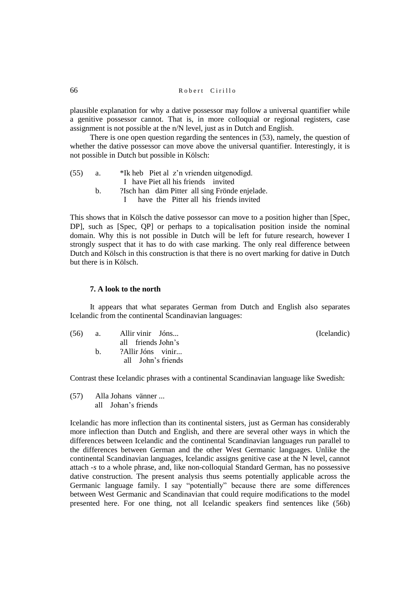plausible explanation for why a dative possessor may follow a universal quantifier while a genitive possessor cannot. That is, in more colloquial or regional registers, case assignment is not possible at the n/N level, just as in Dutch and English.

There is one open question regarding the sentences in (53), namely, the question of whether the dative possessor can move above the universal quantifier. Interestingly, it is not possible in Dutch but possible in Kölsch:

| (55) |  |                                     | *Ik heb Piet al z'n vrienden uitgenodigd. |
|------|--|-------------------------------------|-------------------------------------------|
|      |  | I have Piet all his friends invited |                                           |

b. ?Isch han däm Pitter all sing Frönde enjelade.

I have the Pitter all his friends invited

This shows that in Kölsch the dative possessor can move to a position higher than [Spec, DP], such as [Spec, QP] or perhaps to a topicalisation position inside the nominal domain. Why this is not possible in Dutch will be left for future research, however I strongly suspect that it has to do with case marking. The only real difference between Dutch and Kölsch in this construction is that there is no overt marking for dative in Dutch but there is in Kölsch.

## **7. A look to the north**

It appears that what separates German from Dutch and English also separates Icelandic from the continental Scandinavian languages:

| (56) | а. | Allir vinir Jóns   |
|------|----|--------------------|
|      |    | all friends John's |
|      | h. | ?Allir Jóns vinir  |
|      |    | all John's friends |

(Icelandic)

Contrast these Icelandic phrases with a continental Scandinavian language like Swedish:

(57) Alla Johans vänner ... all Johan's friends

Icelandic has more inflection than its continental sisters, just as German has considerably more inflection than Dutch and English, and there are several other ways in which the differences between Icelandic and the continental Scandinavian languages run parallel to the differences between German and the other West Germanic languages. Unlike the continental Scandinavian languages, Icelandic assigns genitive case at the N level, cannot attach *-s* to a whole phrase, and, like non-colloquial Standard German, has no possessive dative construction. The present analysis thus seems potentially applicable across the Germanic language family. I say "potentially" because there are some differences between West Germanic and Scandinavian that could require modifications to the model presented here. For one thing, not all Icelandic speakers find sentences like (56b)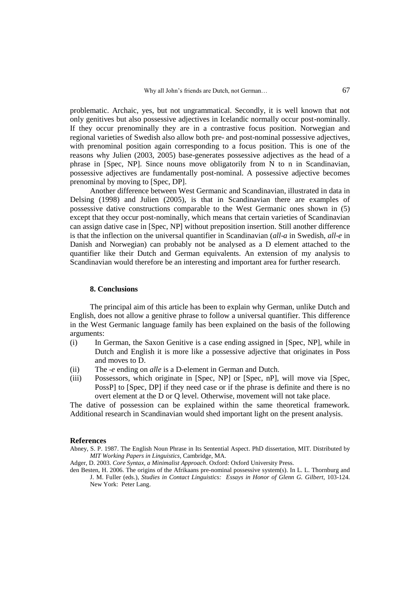problematic. Archaic, yes, but not ungrammatical. Secondly, it is well known that not only genitives but also possessive adjectives in Icelandic normally occur post-nominally. If they occur prenominally they are in a contrastive focus position. Norwegian and regional varieties of Swedish also allow both pre- and post-nominal possessive adjectives, with prenominal position again corresponding to a focus position. This is one of the reasons why Julien (2003, 2005) base-generates possessive adjectives as the head of a phrase in [Spec, NP]. Since nouns move obligatorily from N to n in Scandinavian, possessive adjectives are fundamentally post-nominal. A possessive adjective becomes prenominal by moving to [Spec, DP].

Another difference between West Germanic and Scandinavian, illustrated in data in Delsing (1998) and Julien (2005), is that in Scandinavian there are examples of possessive dative constructions comparable to the West Germanic ones shown in (5) except that they occur post-nominally, which means that certain varieties of Scandinavian can assign dative case in [Spec, NP] without preposition insertion. Still another difference is that the inflection on the universal quantifier in Scandinavian (*all*-*a* in Swedish, *all*-*e* in Danish and Norwegian) can probably not be analysed as a D element attached to the quantifier like their Dutch and German equivalents. An extension of my analysis to Scandinavian would therefore be an interesting and important area for further research.

## **8. Conclusions**

The principal aim of this article has been to explain why German, unlike Dutch and English, does not allow a genitive phrase to follow a universal quantifier. This difference in the West Germanic language family has been explained on the basis of the following arguments:

- (i) In German, the Saxon Genitive is a case ending assigned in [Spec, NP], while in Dutch and English it is more like a possessive adjective that originates in Poss and moves to D.
- (ii) The -*e* ending on *alle* is a D-element in German and Dutch.
- (iii) Possessors, which originate in [Spec, NP] or [Spec, nP], will move via [Spec, PossP] to [Spec, DP] if they need case or if the phrase is definite and there is no overt element at the D or Q level. Otherwise, movement will not take place.

The dative of possession can be explained within the same theoretical framework. Additional research in Scandinavian would shed important light on the present analysis.

#### **References**

- Abney, S. P. 1987. The English Noun Phrase in Its Sentential Aspect. PhD dissertation, MIT. Distributed by *MIT Working Papers in Linguistics*, Cambridge, MA.
- Adger, D. 2003. *Core Syntax, a Minimalist Approach*. Oxford: Oxford University Press.
- den Besten, H. 2006. The origins of the Afrikaans pre-nominal possessive system(s). In L. L. Thornburg and J. M. Fuller (eds.), *Studies in Contact Linguistics: Essays in Honor of Glenn G. Gilbert*, 103-124. New York: Peter Lang.